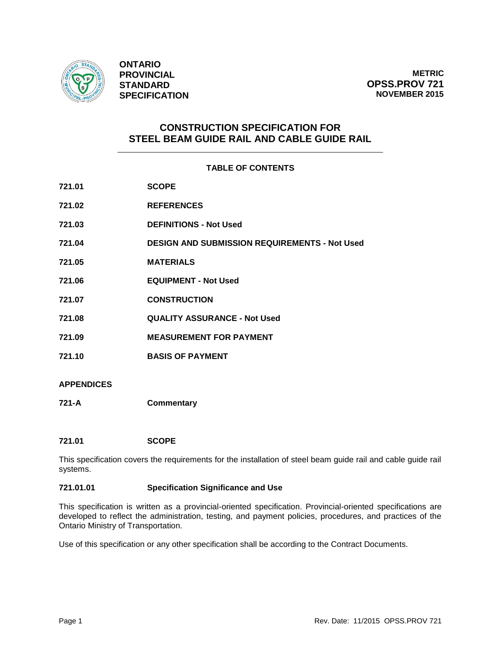

**ONTARIO PROVINCIAL STANDARD SPECIFICATION**

**METRIC OPSS.PROV 721 NOVEMBER 2015**

# **CONSTRUCTION SPECIFICATION FOR STEEL BEAM GUIDE RAIL AND CABLE GUIDE RAIL**

# **TABLE OF CONTENTS**

| 721.01 | <b>SCOPE</b>                                         |
|--------|------------------------------------------------------|
| 721.02 | <b>REFERENCES</b>                                    |
| 721.03 | <b>DEFINITIONS - Not Used</b>                        |
| 721.04 | <b>DESIGN AND SUBMISSION REQUIREMENTS - Not Used</b> |
| 721.05 | <b>MATERIALS</b>                                     |
| 721.06 | <b>EQUIPMENT - Not Used</b>                          |
| 721.07 | <b>CONSTRUCTION</b>                                  |
| 721.08 | <b>QUALITY ASSURANCE - Not Used</b>                  |
| 721.09 | <b>MEASUREMENT FOR PAYMENT</b>                       |
| 721.10 | <b>BASIS OF PAYMENT</b>                              |
|        |                                                      |

# **APPENDICES**

**721-A Commentary**

# **721.01 SCOPE**

This specification covers the requirements for the installation of steel beam guide rail and cable guide rail systems.

# **721.01.01 Specification Significance and Use**

This specification is written as a provincial-oriented specification. Provincial-oriented specifications are developed to reflect the administration, testing, and payment policies, procedures, and practices of the Ontario Ministry of Transportation.

Use of this specification or any other specification shall be according to the Contract Documents.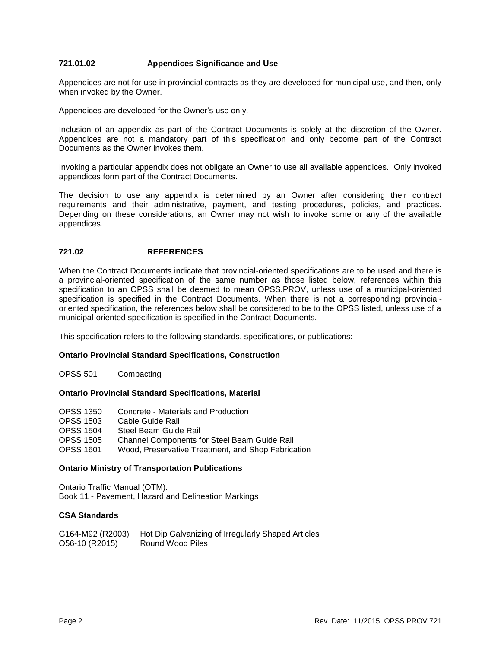# **721.01.02 Appendices Significance and Use**

Appendices are not for use in provincial contracts as they are developed for municipal use, and then, only when invoked by the Owner.

Appendices are developed for the Owner's use only.

Inclusion of an appendix as part of the Contract Documents is solely at the discretion of the Owner. Appendices are not a mandatory part of this specification and only become part of the Contract Documents as the Owner invokes them.

Invoking a particular appendix does not obligate an Owner to use all available appendices. Only invoked appendices form part of the Contract Documents.

The decision to use any appendix is determined by an Owner after considering their contract requirements and their administrative, payment, and testing procedures, policies, and practices. Depending on these considerations, an Owner may not wish to invoke some or any of the available appendices.

# **721.02 REFERENCES**

When the Contract Documents indicate that provincial-oriented specifications are to be used and there is a provincial-oriented specification of the same number as those listed below, references within this specification to an OPSS shall be deemed to mean OPSS.PROV, unless use of a municipal-oriented specification is specified in the Contract Documents. When there is not a corresponding provincialoriented specification, the references below shall be considered to be to the OPSS listed, unless use of a municipal-oriented specification is specified in the Contract Documents.

This specification refers to the following standards, specifications, or publications:

# **Ontario Provincial Standard Specifications, Construction**

OPSS 501 Compacting

# **Ontario Provincial Standard Specifications, Material**

| <b>OPSS 1350</b> | Concrete - Materials and Production                |
|------------------|----------------------------------------------------|
| <b>OPSS 1503</b> | Cable Guide Rail                                   |
| <b>OPSS 1504</b> | Steel Beam Guide Rail                              |
| <b>OPSS 1505</b> | Channel Components for Steel Beam Guide Rail       |
| <b>OPSS 1601</b> | Wood, Preservative Treatment, and Shop Fabrication |

# **Ontario Ministry of Transportation Publications**

Ontario Traffic Manual (OTM): Book 11 - Pavement, Hazard and Delineation Markings

# **CSA Standards**

| G164-M92 (R2003) | Hot Dip Galvanizing of Irregularly Shaped Articles |
|------------------|----------------------------------------------------|
| O56-10 (R2015)   | Round Wood Piles                                   |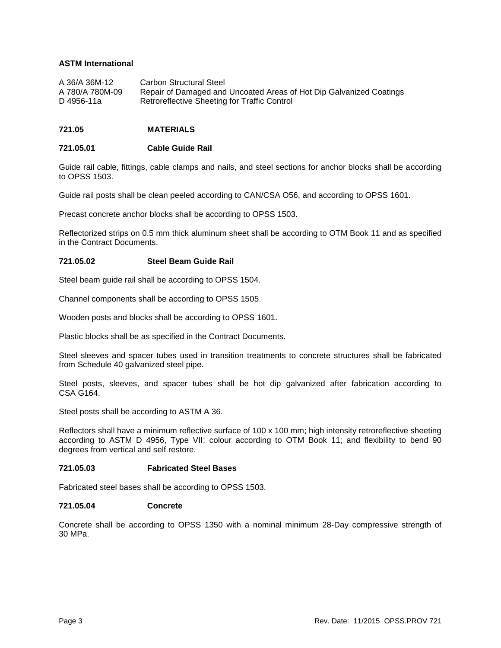# **ASTM International**

| A 36/A 36M-12   | Carbon Structural Steel                                             |
|-----------------|---------------------------------------------------------------------|
| A 780/A 780M-09 | Repair of Damaged and Uncoated Areas of Hot Dip Galvanized Coatings |
| D 4956-11a      | Retroreflective Sheeting for Traffic Control                        |

# **721.05 MATERIALS**

# **721.05.01 Cable Guide Rail**

Guide rail cable, fittings, cable clamps and nails, and steel sections for anchor blocks shall be according to OPSS 1503.

Guide rail posts shall be clean peeled according to CAN/CSA O56, and according to OPSS 1601.

Precast concrete anchor blocks shall be according to OPSS 1503.

Reflectorized strips on 0.5 mm thick aluminum sheet shall be according to OTM Book 11 and as specified in the Contract Documents.

# **721.05.02 Steel Beam Guide Rail**

Steel beam guide rail shall be according to OPSS 1504.

Channel components shall be according to OPSS 1505.

Wooden posts and blocks shall be according to OPSS 1601.

Plastic blocks shall be as specified in the Contract Documents.

Steel sleeves and spacer tubes used in transition treatments to concrete structures shall be fabricated from Schedule 40 galvanized steel pipe.

Steel posts, sleeves, and spacer tubes shall be hot dip galvanized after fabrication according to CSA G164.

Steel posts shall be according to ASTM A 36.

Reflectors shall have a minimum reflective surface of 100 x 100 mm; high intensity retroreflective sheeting according to ASTM D 4956, Type VII; colour according to OTM Book 11; and flexibility to bend 90 degrees from vertical and self restore.

# **721.05.03 Fabricated Steel Bases**

Fabricated steel bases shall be according to OPSS 1503.

#### **721.05.04 Concrete**

Concrete shall be according to OPSS 1350 with a nominal minimum 28-Day compressive strength of 30 MPa.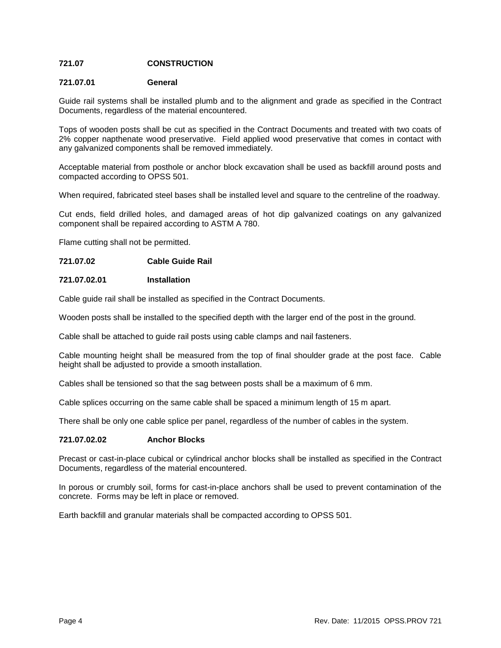# **721.07 CONSTRUCTION**

# **721.07.01 General**

Guide rail systems shall be installed plumb and to the alignment and grade as specified in the Contract Documents, regardless of the material encountered.

Tops of wooden posts shall be cut as specified in the Contract Documents and treated with two coats of 2% copper napthenate wood preservative. Field applied wood preservative that comes in contact with any galvanized components shall be removed immediately.

Acceptable material from posthole or anchor block excavation shall be used as backfill around posts and compacted according to OPSS 501.

When required, fabricated steel bases shall be installed level and square to the centreline of the roadway.

Cut ends, field drilled holes, and damaged areas of hot dip galvanized coatings on any galvanized component shall be repaired according to ASTM A 780.

Flame cutting shall not be permitted.

# **721.07.02 Cable Guide Rail**

#### **721.07.02.01 Installation**

Cable guide rail shall be installed as specified in the Contract Documents.

Wooden posts shall be installed to the specified depth with the larger end of the post in the ground.

Cable shall be attached to guide rail posts using cable clamps and nail fasteners.

Cable mounting height shall be measured from the top of final shoulder grade at the post face. Cable height shall be adjusted to provide a smooth installation.

Cables shall be tensioned so that the sag between posts shall be a maximum of 6 mm.

Cable splices occurring on the same cable shall be spaced a minimum length of 15 m apart.

There shall be only one cable splice per panel, regardless of the number of cables in the system.

# **721.07.02.02 Anchor Blocks**

Precast or cast-in-place cubical or cylindrical anchor blocks shall be installed as specified in the Contract Documents, regardless of the material encountered.

In porous or crumbly soil, forms for cast-in-place anchors shall be used to prevent contamination of the concrete. Forms may be left in place or removed.

Earth backfill and granular materials shall be compacted according to OPSS 501.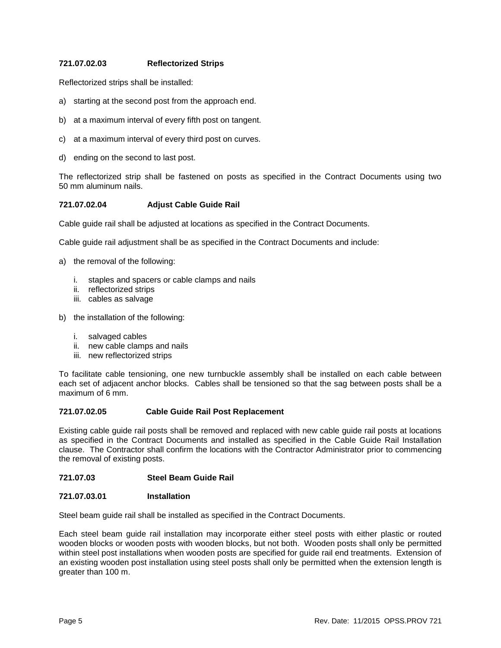# **721.07.02.03 Reflectorized Strips**

Reflectorized strips shall be installed:

- a) starting at the second post from the approach end.
- b) at a maximum interval of every fifth post on tangent.
- c) at a maximum interval of every third post on curves.
- d) ending on the second to last post.

The reflectorized strip shall be fastened on posts as specified in the Contract Documents using two 50 mm aluminum nails.

# **721.07.02.04 Adjust Cable Guide Rail**

Cable guide rail shall be adjusted at locations as specified in the Contract Documents.

Cable guide rail adjustment shall be as specified in the Contract Documents and include:

- a) the removal of the following:
	- i. staples and spacers or cable clamps and nails
	- ii. reflectorized strips
	- iii. cables as salvage
- b) the installation of the following:
	- i. salvaged cables
	- ii. new cable clamps and nails
	- iii. new reflectorized strips

To facilitate cable tensioning, one new turnbuckle assembly shall be installed on each cable between each set of adjacent anchor blocks. Cables shall be tensioned so that the sag between posts shall be a maximum of 6 mm.

# **721.07.02.05 Cable Guide Rail Post Replacement**

Existing cable guide rail posts shall be removed and replaced with new cable guide rail posts at locations as specified in the Contract Documents and installed as specified in the Cable Guide Rail Installation clause. The Contractor shall confirm the locations with the Contractor Administrator prior to commencing the removal of existing posts.

# **721.07.03 Steel Beam Guide Rail**

#### **721.07.03.01 Installation**

Steel beam guide rail shall be installed as specified in the Contract Documents.

Each steel beam guide rail installation may incorporate either steel posts with either plastic or routed wooden blocks or wooden posts with wooden blocks, but not both. Wooden posts shall only be permitted within steel post installations when wooden posts are specified for guide rail end treatments. Extension of an existing wooden post installation using steel posts shall only be permitted when the extension length is greater than 100 m.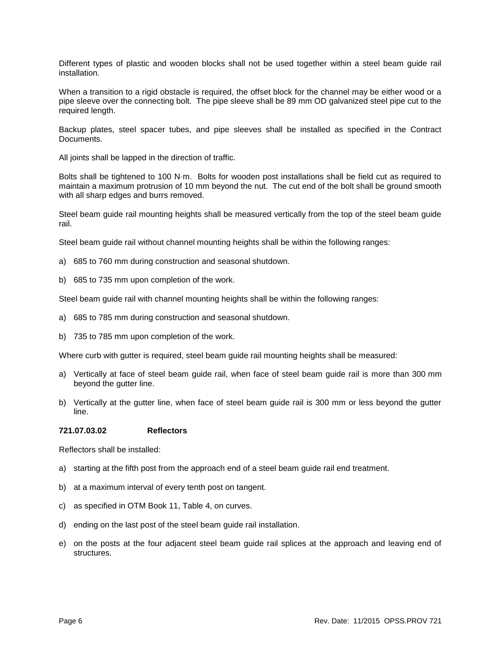Different types of plastic and wooden blocks shall not be used together within a steel beam guide rail installation.

When a transition to a rigid obstacle is required, the offset block for the channel may be either wood or a pipe sleeve over the connecting bolt. The pipe sleeve shall be 89 mm OD galvanized steel pipe cut to the required length.

Backup plates, steel spacer tubes, and pipe sleeves shall be installed as specified in the Contract Documents.

All joints shall be lapped in the direction of traffic.

Bolts shall be tightened to 100 N·m. Bolts for wooden post installations shall be field cut as required to maintain a maximum protrusion of 10 mm beyond the nut. The cut end of the bolt shall be ground smooth with all sharp edges and burrs removed.

Steel beam guide rail mounting heights shall be measured vertically from the top of the steel beam guide rail.

Steel beam guide rail without channel mounting heights shall be within the following ranges:

- a) 685 to 760 mm during construction and seasonal shutdown.
- b) 685 to 735 mm upon completion of the work.

Steel beam guide rail with channel mounting heights shall be within the following ranges:

- a) 685 to 785 mm during construction and seasonal shutdown.
- b) 735 to 785 mm upon completion of the work.

Where curb with gutter is required, steel beam guide rail mounting heights shall be measured:

- a) Vertically at face of steel beam guide rail, when face of steel beam guide rail is more than 300 mm beyond the gutter line.
- b) Vertically at the gutter line, when face of steel beam guide rail is 300 mm or less beyond the gutter line.

#### **721.07.03.02 Reflectors**

Reflectors shall be installed:

- a) starting at the fifth post from the approach end of a steel beam guide rail end treatment.
- b) at a maximum interval of every tenth post on tangent.
- c) as specified in OTM Book 11, Table 4, on curves.
- d) ending on the last post of the steel beam guide rail installation.
- e) on the posts at the four adjacent steel beam guide rail splices at the approach and leaving end of structures.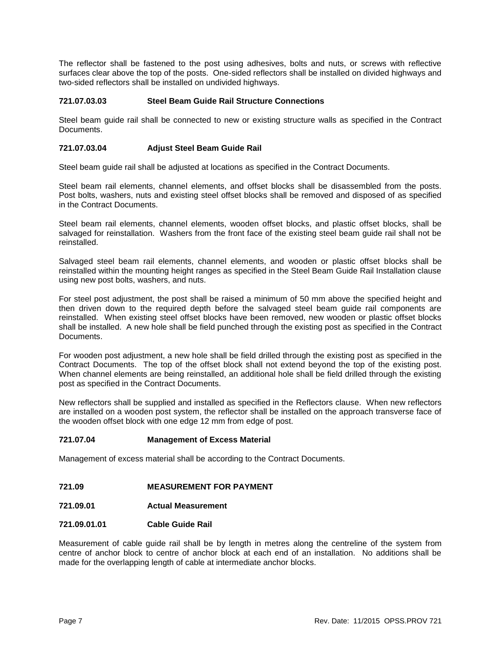The reflector shall be fastened to the post using adhesives, bolts and nuts, or screws with reflective surfaces clear above the top of the posts. One-sided reflectors shall be installed on divided highways and two-sided reflectors shall be installed on undivided highways.

# **721.07.03.03 Steel Beam Guide Rail Structure Connections**

Steel beam guide rail shall be connected to new or existing structure walls as specified in the Contract Documents.

# **721.07.03.04 Adjust Steel Beam Guide Rail**

Steel beam guide rail shall be adjusted at locations as specified in the Contract Documents.

Steel beam rail elements, channel elements, and offset blocks shall be disassembled from the posts. Post bolts, washers, nuts and existing steel offset blocks shall be removed and disposed of as specified in the Contract Documents.

Steel beam rail elements, channel elements, wooden offset blocks, and plastic offset blocks, shall be salvaged for reinstallation. Washers from the front face of the existing steel beam guide rail shall not be reinstalled.

Salvaged steel beam rail elements, channel elements, and wooden or plastic offset blocks shall be reinstalled within the mounting height ranges as specified in the Steel Beam Guide Rail Installation clause using new post bolts, washers, and nuts.

For steel post adjustment, the post shall be raised a minimum of 50 mm above the specified height and then driven down to the required depth before the salvaged steel beam guide rail components are reinstalled. When existing steel offset blocks have been removed, new wooden or plastic offset blocks shall be installed. A new hole shall be field punched through the existing post as specified in the Contract Documents.

For wooden post adjustment, a new hole shall be field drilled through the existing post as specified in the Contract Documents. The top of the offset block shall not extend beyond the top of the existing post. When channel elements are being reinstalled, an additional hole shall be field drilled through the existing post as specified in the Contract Documents.

New reflectors shall be supplied and installed as specified in the Reflectors clause. When new reflectors are installed on a wooden post system, the reflector shall be installed on the approach transverse face of the wooden offset block with one edge 12 mm from edge of post.

# **721.07.04 Management of Excess Material**

Management of excess material shall be according to the Contract Documents.

- **721.09 MEASUREMENT FOR PAYMENT**
- **721.09.01 Actual Measurement**

# **721.09.01.01 Cable Guide Rail**

Measurement of cable guide rail shall be by length in metres along the centreline of the system from centre of anchor block to centre of anchor block at each end of an installation. No additions shall be made for the overlapping length of cable at intermediate anchor blocks.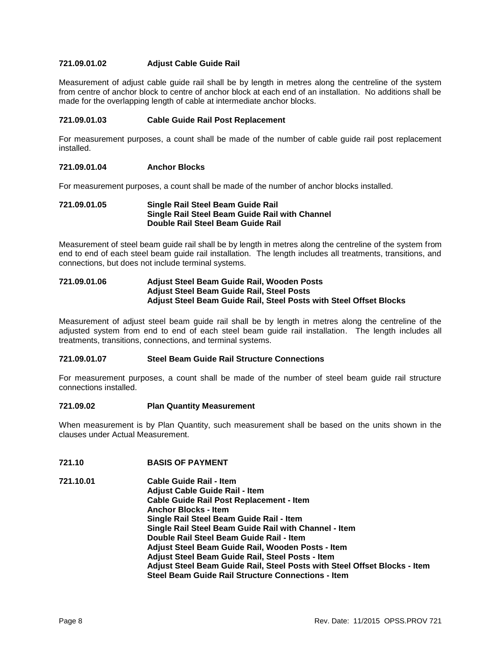# **721.09.01.02 Adjust Cable Guide Rail**

Measurement of adjust cable guide rail shall be by length in metres along the centreline of the system from centre of anchor block to centre of anchor block at each end of an installation. No additions shall be made for the overlapping length of cable at intermediate anchor blocks.

# **721.09.01.03 Cable Guide Rail Post Replacement**

For measurement purposes, a count shall be made of the number of cable guide rail post replacement installed.

# **721.09.01.04 Anchor Blocks**

For measurement purposes, a count shall be made of the number of anchor blocks installed.

#### **721.09.01.05 Single Rail Steel Beam Guide Rail Single Rail Steel Beam Guide Rail with Channel Double Rail Steel Beam Guide Rail**

Measurement of steel beam guide rail shall be by length in metres along the centreline of the system from end to end of each steel beam guide rail installation. The length includes all treatments, transitions, and connections, but does not include terminal systems.

# **721.09.01.06 Adjust Steel Beam Guide Rail, Wooden Posts Adjust Steel Beam Guide Rail, Steel Posts Adjust Steel Beam Guide Rail, Steel Posts with Steel Offset Blocks**

Measurement of adjust steel beam guide rail shall be by length in metres along the centreline of the adjusted system from end to end of each steel beam guide rail installation. The length includes all treatments, transitions, connections, and terminal systems.

# **721.09.01.07 Steel Beam Guide Rail Structure Connections**

For measurement purposes, a count shall be made of the number of steel beam guide rail structure connections installed.

#### **721.09.02 Plan Quantity Measurement**

When measurement is by Plan Quantity, such measurement shall be based on the units shown in the clauses under Actual Measurement.

# **721.10 BASIS OF PAYMENT**

**721.10.01 Cable Guide Rail - Item Adjust Cable Guide Rail - Item Cable Guide Rail Post Replacement - Item Anchor Blocks - Item Single Rail Steel Beam Guide Rail - Item Single Rail Steel Beam Guide Rail with Channel - Item Double Rail Steel Beam Guide Rail - Item Adjust Steel Beam Guide Rail, Wooden Posts - Item Adjust Steel Beam Guide Rail, Steel Posts - Item Adjust Steel Beam Guide Rail, Steel Posts with Steel Offset Blocks - Item Steel Beam Guide Rail Structure Connections - Item**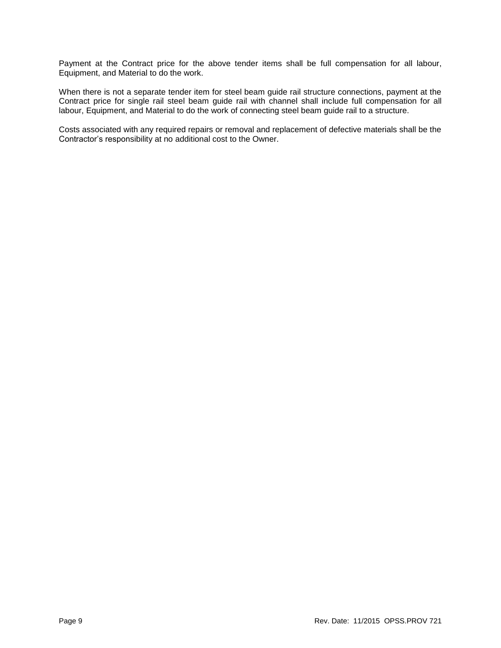Payment at the Contract price for the above tender items shall be full compensation for all labour, Equipment, and Material to do the work.

When there is not a separate tender item for steel beam guide rail structure connections, payment at the Contract price for single rail steel beam guide rail with channel shall include full compensation for all labour, Equipment, and Material to do the work of connecting steel beam guide rail to a structure.

Costs associated with any required repairs or removal and replacement of defective materials shall be the Contractor's responsibility at no additional cost to the Owner.